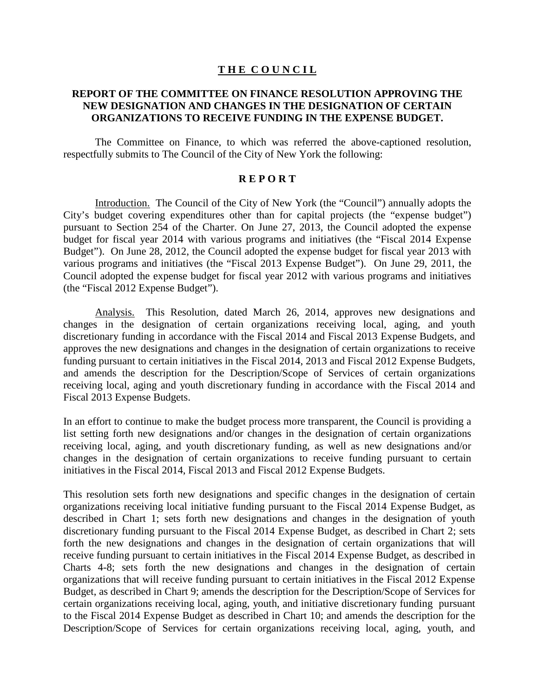#### **T H E C O U N C I L**

### **REPORT OF THE COMMITTEE ON FINANCE RESOLUTION APPROVING THE NEW DESIGNATION AND CHANGES IN THE DESIGNATION OF CERTAIN ORGANIZATIONS TO RECEIVE FUNDING IN THE EXPENSE BUDGET.**

The Committee on Finance, to which was referred the above-captioned resolution, respectfully submits to The Council of the City of New York the following:

### **R E P O R T**

Introduction. The Council of the City of New York (the "Council") annually adopts the City's budget covering expenditures other than for capital projects (the "expense budget") pursuant to Section 254 of the Charter. On June 27, 2013, the Council adopted the expense budget for fiscal year 2014 with various programs and initiatives (the "Fiscal 2014 Expense Budget"). On June 28, 2012, the Council adopted the expense budget for fiscal year 2013 with various programs and initiatives (the "Fiscal 2013 Expense Budget"). On June 29, 2011, the Council adopted the expense budget for fiscal year 2012 with various programs and initiatives (the "Fiscal 2012 Expense Budget").

Analysis. This Resolution, dated March 26, 2014, approves new designations and changes in the designation of certain organizations receiving local, aging, and youth discretionary funding in accordance with the Fiscal 2014 and Fiscal 2013 Expense Budgets, and approves the new designations and changes in the designation of certain organizations to receive funding pursuant to certain initiatives in the Fiscal 2014, 2013 and Fiscal 2012 Expense Budgets, and amends the description for the Description/Scope of Services of certain organizations receiving local, aging and youth discretionary funding in accordance with the Fiscal 2014 and Fiscal 2013 Expense Budgets.

In an effort to continue to make the budget process more transparent, the Council is providing a list setting forth new designations and/or changes in the designation of certain organizations receiving local, aging, and youth discretionary funding, as well as new designations and/or changes in the designation of certain organizations to receive funding pursuant to certain initiatives in the Fiscal 2014, Fiscal 2013 and Fiscal 2012 Expense Budgets.

This resolution sets forth new designations and specific changes in the designation of certain organizations receiving local initiative funding pursuant to the Fiscal 2014 Expense Budget, as described in Chart 1; sets forth new designations and changes in the designation of youth discretionary funding pursuant to the Fiscal 2014 Expense Budget, as described in Chart 2; sets forth the new designations and changes in the designation of certain organizations that will receive funding pursuant to certain initiatives in the Fiscal 2014 Expense Budget, as described in Charts 4-8; sets forth the new designations and changes in the designation of certain organizations that will receive funding pursuant to certain initiatives in the Fiscal 2012 Expense Budget, as described in Chart 9; amends the description for the Description/Scope of Services for certain organizations receiving local, aging, youth, and initiative discretionary funding pursuant to the Fiscal 2014 Expense Budget as described in Chart 10; and amends the description for the Description/Scope of Services for certain organizations receiving local, aging, youth, and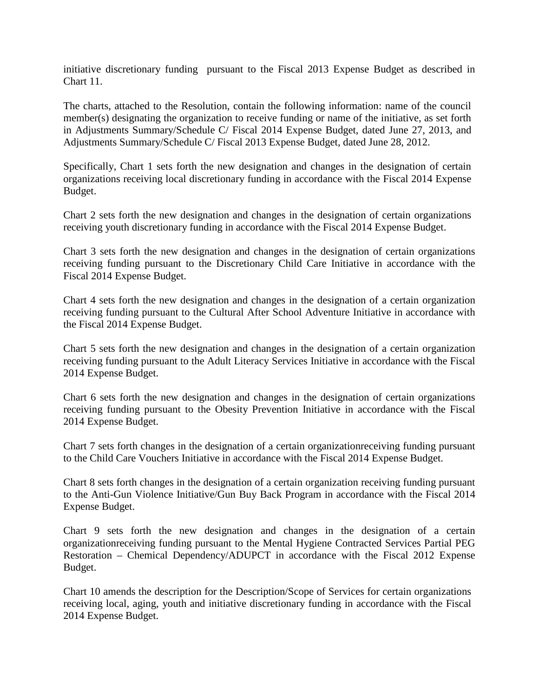initiative discretionary funding pursuant to the Fiscal 2013 Expense Budget as described in Chart 11.

The charts, attached to the Resolution, contain the following information: name of the council member(s) designating the organization to receive funding or name of the initiative, as set forth in Adjustments Summary/Schedule C/ Fiscal 2014 Expense Budget, dated June 27, 2013, and Adjustments Summary/Schedule C/ Fiscal 2013 Expense Budget, dated June 28, 2012.

Specifically, Chart 1 sets forth the new designation and changes in the designation of certain organizations receiving local discretionary funding in accordance with the Fiscal 2014 Expense Budget.

Chart 2 sets forth the new designation and changes in the designation of certain organizations receiving youth discretionary funding in accordance with the Fiscal 2014 Expense Budget.

Chart 3 sets forth the new designation and changes in the designation of certain organizations receiving funding pursuant to the Discretionary Child Care Initiative in accordance with the Fiscal 2014 Expense Budget.

Chart 4 sets forth the new designation and changes in the designation of a certain organization receiving funding pursuant to the Cultural After School Adventure Initiative in accordance with the Fiscal 2014 Expense Budget.

Chart 5 sets forth the new designation and changes in the designation of a certain organization receiving funding pursuant to the Adult Literacy Services Initiative in accordance with the Fiscal 2014 Expense Budget.

Chart 6 sets forth the new designation and changes in the designation of certain organizations receiving funding pursuant to the Obesity Prevention Initiative in accordance with the Fiscal 2014 Expense Budget.

Chart 7 sets forth changes in the designation of a certain organizationreceiving funding pursuant to the Child Care Vouchers Initiative in accordance with the Fiscal 2014 Expense Budget.

Chart 8 sets forth changes in the designation of a certain organization receiving funding pursuant to the Anti-Gun Violence Initiative/Gun Buy Back Program in accordance with the Fiscal 2014 Expense Budget.

Chart 9 sets forth the new designation and changes in the designation of a certain organizationreceiving funding pursuant to the Mental Hygiene Contracted Services Partial PEG Restoration – Chemical Dependency/ADUPCT in accordance with the Fiscal 2012 Expense Budget.

Chart 10 amends the description for the Description/Scope of Services for certain organizations receiving local, aging, youth and initiative discretionary funding in accordance with the Fiscal 2014 Expense Budget.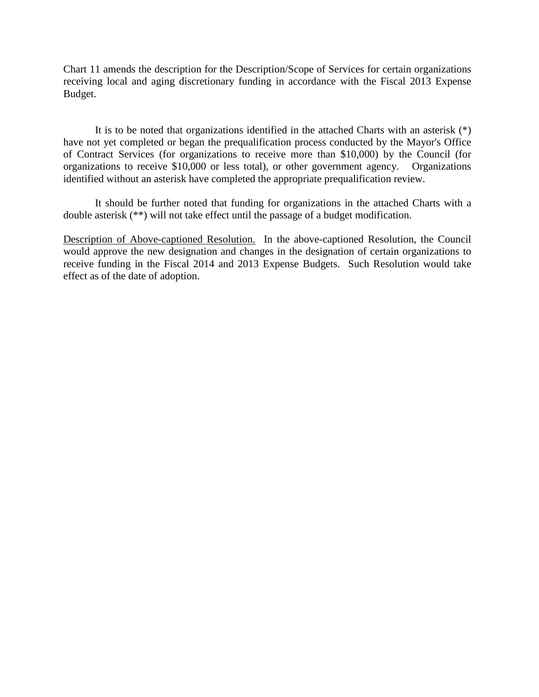Chart 11 amends the description for the Description/Scope of Services for certain organizations receiving local and aging discretionary funding in accordance with the Fiscal 2013 Expense Budget.

It is to be noted that organizations identified in the attached Charts with an asterisk (\*) have not yet completed or began the prequalification process conducted by the Mayor's Office of Contract Services (for organizations to receive more than \$10,000) by the Council (for organizations to receive \$10,000 or less total), or other government agency. Organizations identified without an asterisk have completed the appropriate prequalification review.

It should be further noted that funding for organizations in the attached Charts with a double asterisk (\*\*) will not take effect until the passage of a budget modification.

Description of Above-captioned Resolution. In the above-captioned Resolution, the Council would approve the new designation and changes in the designation of certain organizations to receive funding in the Fiscal 2014 and 2013 Expense Budgets. Such Resolution would take effect as of the date of adoption.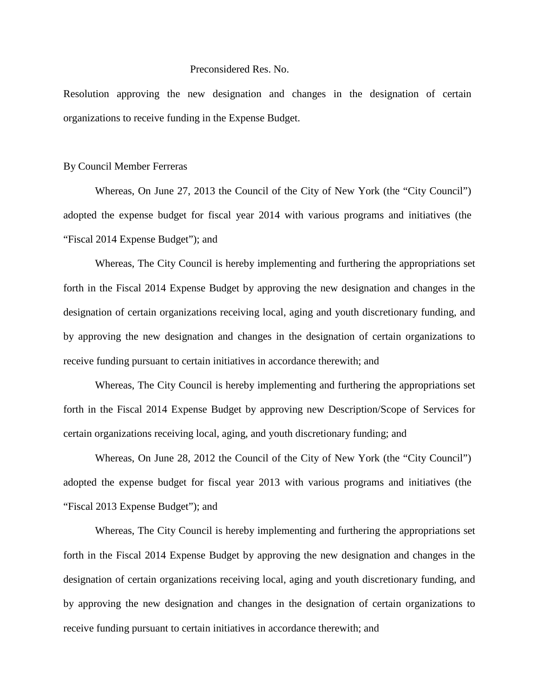#### Preconsidered Res. No.

Resolution approving the new designation and changes in the designation of certain organizations to receive funding in the Expense Budget.

#### By Council Member Ferreras

Whereas, On June 27, 2013 the Council of the City of New York (the "City Council") adopted the expense budget for fiscal year 2014 with various programs and initiatives (the "Fiscal 2014 Expense Budget"); and

Whereas, The City Council is hereby implementing and furthering the appropriations set forth in the Fiscal 2014 Expense Budget by approving the new designation and changes in the designation of certain organizations receiving local, aging and youth discretionary funding, and by approving the new designation and changes in the designation of certain organizations to receive funding pursuant to certain initiatives in accordance therewith; and

Whereas, The City Council is hereby implementing and furthering the appropriations set forth in the Fiscal 2014 Expense Budget by approving new Description/Scope of Services for certain organizations receiving local, aging, and youth discretionary funding; and

Whereas, On June 28, 2012 the Council of the City of New York (the "City Council") adopted the expense budget for fiscal year 2013 with various programs and initiatives (the "Fiscal 2013 Expense Budget"); and

Whereas, The City Council is hereby implementing and furthering the appropriations set forth in the Fiscal 2014 Expense Budget by approving the new designation and changes in the designation of certain organizations receiving local, aging and youth discretionary funding, and by approving the new designation and changes in the designation of certain organizations to receive funding pursuant to certain initiatives in accordance therewith; and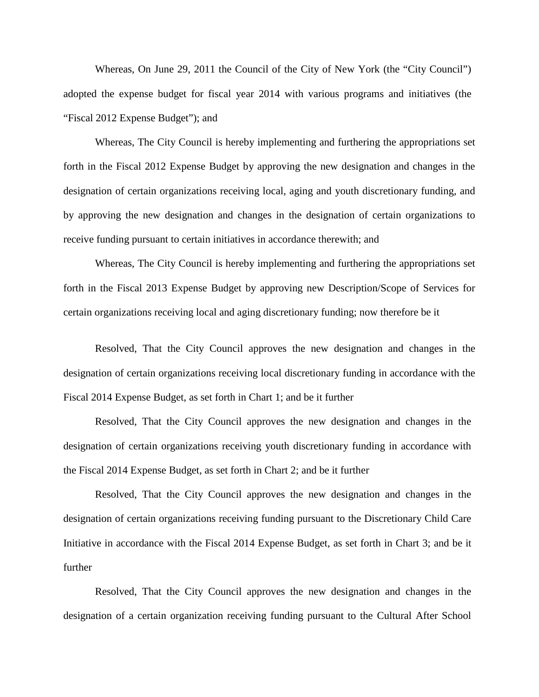Whereas, On June 29, 2011 the Council of the City of New York (the "City Council") adopted the expense budget for fiscal year 2014 with various programs and initiatives (the "Fiscal 2012 Expense Budget"); and

Whereas, The City Council is hereby implementing and furthering the appropriations set forth in the Fiscal 2012 Expense Budget by approving the new designation and changes in the designation of certain organizations receiving local, aging and youth discretionary funding, and by approving the new designation and changes in the designation of certain organizations to receive funding pursuant to certain initiatives in accordance therewith; and

Whereas, The City Council is hereby implementing and furthering the appropriations set forth in the Fiscal 2013 Expense Budget by approving new Description/Scope of Services for certain organizations receiving local and aging discretionary funding; now therefore be it

Resolved, That the City Council approves the new designation and changes in the designation of certain organizations receiving local discretionary funding in accordance with the Fiscal 2014 Expense Budget, as set forth in Chart 1; and be it further

Resolved, That the City Council approves the new designation and changes in the designation of certain organizations receiving youth discretionary funding in accordance with the Fiscal 2014 Expense Budget, as set forth in Chart 2; and be it further

Resolved, That the City Council approves the new designation and changes in the designation of certain organizations receiving funding pursuant to the Discretionary Child Care Initiative in accordance with the Fiscal 2014 Expense Budget, as set forth in Chart 3; and be it further

Resolved, That the City Council approves the new designation and changes in the designation of a certain organization receiving funding pursuant to the Cultural After School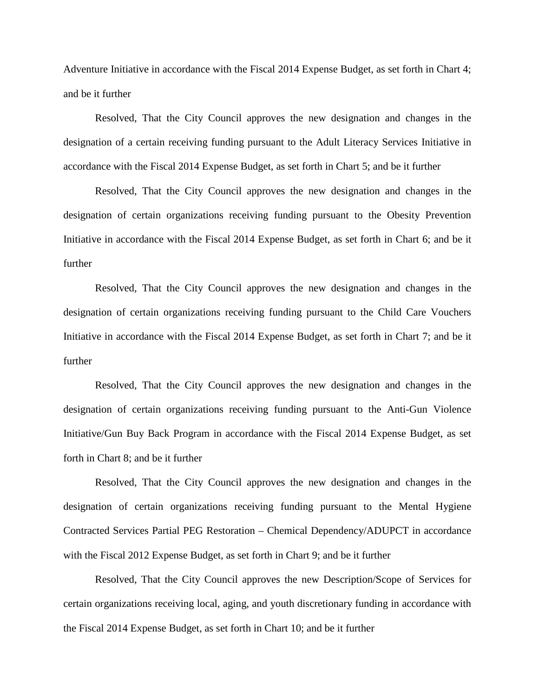Adventure Initiative in accordance with the Fiscal 2014 Expense Budget, as set forth in Chart 4; and be it further

Resolved, That the City Council approves the new designation and changes in the designation of a certain receiving funding pursuant to the Adult Literacy Services Initiative in accordance with the Fiscal 2014 Expense Budget, as set forth in Chart 5; and be it further

Resolved, That the City Council approves the new designation and changes in the designation of certain organizations receiving funding pursuant to the Obesity Prevention Initiative in accordance with the Fiscal 2014 Expense Budget, as set forth in Chart 6; and be it further

Resolved, That the City Council approves the new designation and changes in the designation of certain organizations receiving funding pursuant to the Child Care Vouchers Initiative in accordance with the Fiscal 2014 Expense Budget, as set forth in Chart 7; and be it further

Resolved, That the City Council approves the new designation and changes in the designation of certain organizations receiving funding pursuant to the Anti-Gun Violence Initiative/Gun Buy Back Program in accordance with the Fiscal 2014 Expense Budget, as set forth in Chart 8; and be it further

Resolved, That the City Council approves the new designation and changes in the designation of certain organizations receiving funding pursuant to the Mental Hygiene Contracted Services Partial PEG Restoration – Chemical Dependency/ADUPCT in accordance with the Fiscal 2012 Expense Budget, as set forth in Chart 9; and be it further

Resolved, That the City Council approves the new Description/Scope of Services for certain organizations receiving local, aging, and youth discretionary funding in accordance with the Fiscal 2014 Expense Budget, as set forth in Chart 10; and be it further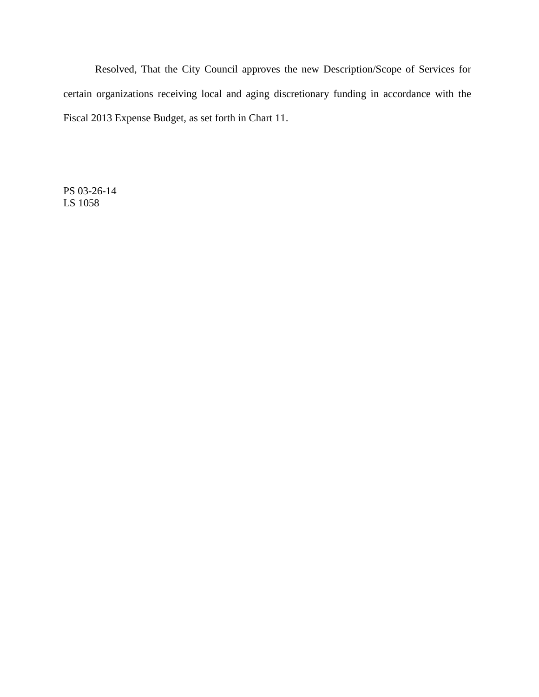Resolved, That the City Council approves the new Description/Scope of Services for certain organizations receiving local and aging discretionary funding in accordance with the Fiscal 2013 Expense Budget, as set forth in Chart 11.

PS 03-26-14 LS 1058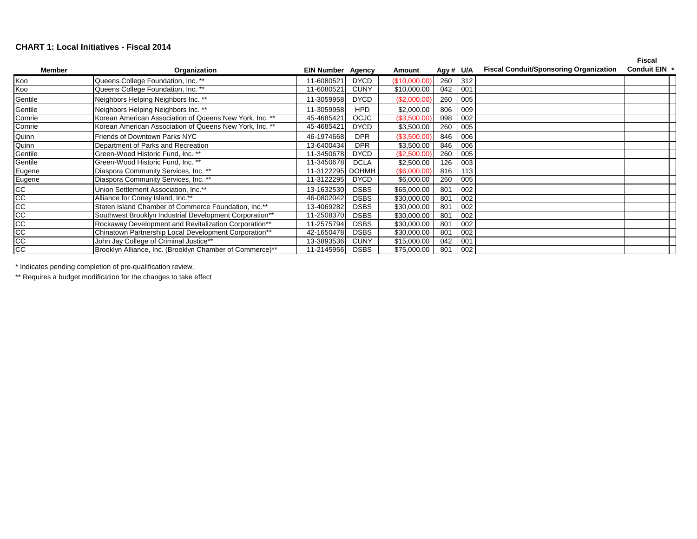#### **CHART 1: Local Initiatives - Fiscal 2014**

|                  |                                                          |                          |              |                    |           |     |                                               | <b>Fiscal</b> |  |
|------------------|----------------------------------------------------------|--------------------------|--------------|--------------------|-----------|-----|-----------------------------------------------|---------------|--|
| <b>Member</b>    | Organization                                             | <b>EIN Number Agency</b> |              | Amount             | Agy # U/A |     | <b>Fiscal Conduit/Sponsoring Organization</b> | Conduit EIN * |  |
| Koo              | Queens College Foundation, Inc. **                       | 11-6080521               | <b>DYCD</b>  | (\$10,000.00)      | 260       | 312 |                                               |               |  |
| Koo              | Queens College Foundation, Inc. **                       | 11-6080521               | <b>CUNY</b>  | \$10,000.00        | 042       | 001 |                                               |               |  |
| Gentile          | Neighbors Helping Neighbors Inc. **                      | 11-3059958               | <b>DYCD</b>  | (\$2,000.00)       | 260       | 005 |                                               |               |  |
| Gentile          | Neighbors Helping Neighbors Inc. **                      | 11-3059958               | <b>HPD</b>   | \$2,000.00         | 806       | 009 |                                               |               |  |
| Comrie           | Korean American Association of Queens New York, Inc. **  | 45-4685421               | <b>OCJC</b>  | (\$3,500.00)       | 098       | 002 |                                               |               |  |
| Comrie           | Korean American Association of Queens New York, Inc. **  | 45-4685421               | <b>DYCD</b>  | \$3,500.00         | 260       | 005 |                                               |               |  |
| Quinn            | Friends of Downtown Parks NYC                            | 46-1974668               | <b>DPR</b>   | (\$3,500.00)       | 846       | 006 |                                               |               |  |
| Quinn            | Department of Parks and Recreation                       | 13-6400434               | <b>DPR</b>   | \$3,500.00         | 846       | 006 |                                               |               |  |
| Gentile          | Green-Wood Historic Fund, Inc. **                        | 11-3450678               | <b>DYCD</b>  | (\$2,500.00)       | 260       | 005 |                                               |               |  |
| Gentile          | Green-Wood Historic Fund, Inc. **                        | 11-3450678               | <b>DCLA</b>  | \$2,500.00         | 126       | 003 |                                               |               |  |
|                  | Diaspora Community Services, Inc. **                     | 11-3122295               | <b>DOHMH</b> | $($ \$6,000.00 $)$ | 816       | 113 |                                               |               |  |
| Eugene<br>Eugene | Diaspora Community Services, Inc. **                     | 11-3122295               | <b>DYCD</b>  | \$6,000.00         | 260       | 005 |                                               |               |  |
| $\frac{cc}{cc}$  | Union Settlement Association, Inc.**                     | 13-1632530               | <b>DSBS</b>  | \$65,000.00        | 801       | 002 |                                               |               |  |
|                  | Alliance for Coney Island, Inc.**                        | 46-0802042               | <b>DSBS</b>  | \$30,000.00        | 801       | 002 |                                               |               |  |
| $\frac{cc}{cc}$  | Staten Island Chamber of Commerce Foundation, Inc.**     | 13-4069282               | <b>DSBS</b>  | \$30,000.00        | 801       | 002 |                                               |               |  |
|                  | Southwest Brooklyn Industrial Development Corporation**  | 11-2508370               | <b>DSBS</b>  | \$30,000.00        | 801       | 002 |                                               |               |  |
|                  | Rockaway Development and Revitalization Corporation**    | 11-2575794               | <b>DSBS</b>  | \$30,000.00        | 801       | 002 |                                               |               |  |
|                  | Chinatown Partnership Local Development Corporation**    | 42-1650478               | <b>DSBS</b>  | \$30,000.00        | 801       | 002 |                                               |               |  |
|                  | John Jay College of Criminal Justice**                   | 13-3893536               | <b>CUNY</b>  | \$15,000.00        | 042       | 001 |                                               |               |  |
| <u>9888</u>      | Brooklyn Alliance, Inc. (Brooklyn Chamber of Commerce)** | 11-2145956               | <b>DSBS</b>  | \$75,000.00        | 801       | 002 |                                               |               |  |

\* Indicates pending completion of pre-qualification review.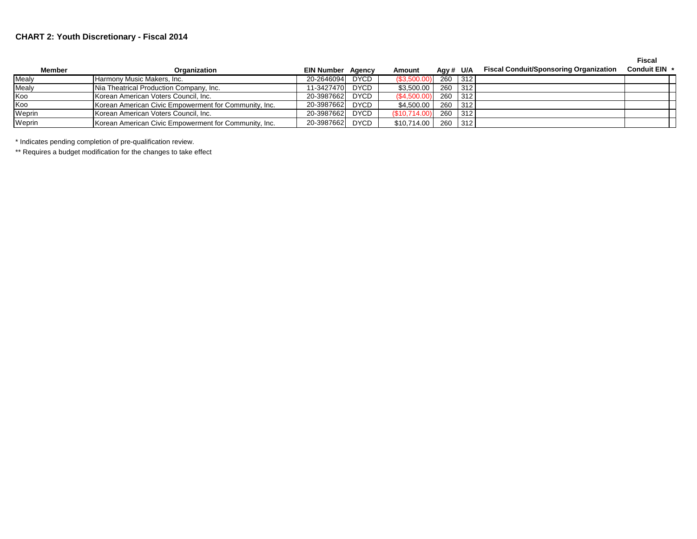### **CHART 2: Youth Discretionary - Fiscal 2014**

**Fiscal** 

| <b>Member</b> | Organization                                          | <b>EIN Number Agency</b> |      | Amount        | Agy # $U/A$ | <b>Fiscal Conduit/Sponsoring Organization</b> | <b>Conduit EIN</b> |
|---------------|-------------------------------------------------------|--------------------------|------|---------------|-------------|-----------------------------------------------|--------------------|
| Mealv         | Harmony Music Makers, Inc.                            | 20-2646094               | DYCD | (S3,500.00)   | 260 312     |                                               |                    |
| Mealy         | Nia Theatrical Production Company, Inc.               | 11-3427470               | DYCD | \$3,500.00    | 260 312     |                                               |                    |
| Koo           | Korean American Voters Council, Inc.                  | 20-3987662               | DYCD | (S4,500.00)   | 260 312     |                                               |                    |
| Koo           | Korean American Civic Empowerment for Community, Inc. | 20-3987662               | DYCD | \$4,500.00    | 260 312     |                                               |                    |
| Weprin        | Korean American Voters Council, Inc.                  | 20-3987662               | DYCD | (S10, 714.00) | 260 312     |                                               |                    |
| Weprin        | Korean American Civic Empowerment for Community, Inc. | 20-3987662 DYCD          |      | \$10,714.00   | 260 312     |                                               |                    |

\* Indicates pending completion of pre-qualification review.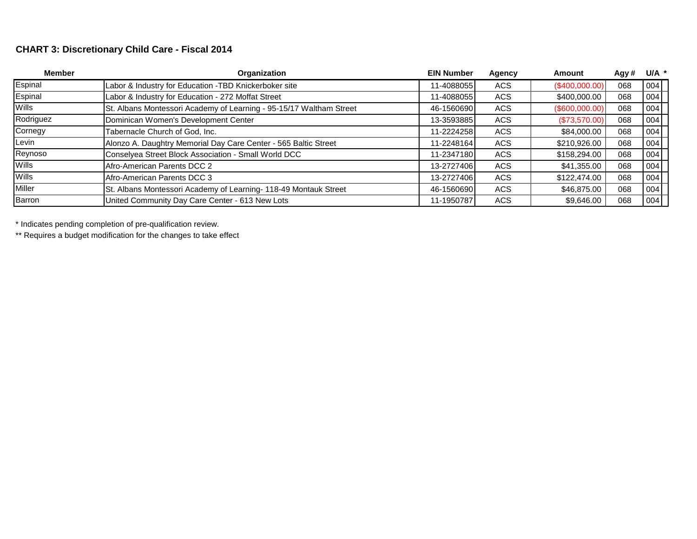# **CHART 3: Discretionary Child Care - Fiscal 2014**

| <b>Member</b> | Organization                                                        | <b>EIN Number</b> | Agency     | Amount           | Agy# | $U/A$ * |
|---------------|---------------------------------------------------------------------|-------------------|------------|------------------|------|---------|
| Espinal       | Labor & Industry for Education -TBD Knickerboker site               | 11-4088055        | <b>ACS</b> | $(\$400,000.00)$ | 068  | 004     |
| Espinal       | Labor & Industry for Education - 272 Moffat Street                  | 11-4088055        | <b>ACS</b> | \$400,000.00     | 068  | 004     |
| <b>Wills</b>  | St. Albans Montessori Academy of Learning - 95-15/17 Waltham Street | 46-1560690        | <b>ACS</b> | $(\$600,000.00)$ | 068  | 004     |
| Rodriguez     | Dominican Women's Development Center                                | 13-3593885        | <b>ACS</b> | (\$73,570.00)    | 068  | 004     |
| Cornegy       | Tabernacle Church of God, Inc.                                      | 11-2224258        | ACS        | \$84,000.00      | 068  | 004     |
| Levin         | Alonzo A. Daughtry Memorial Day Care Center - 565 Baltic Street     | 11-2248164        | ACS        | \$210,926.00     | 068  | 004     |
| Reynoso       | Conselyea Street Block Association - Small World DCC                | 11-2347180        | ACS        | \$158,294.00     | 068  | 004     |
| <b>Wills</b>  | Afro-American Parents DCC 2                                         | 13-2727406        | ACS        | \$41,355.00      | 068  | 004     |
| Wills         | Afro-American Parents DCC 3                                         | 13-2727406        | <b>ACS</b> | \$122,474.00     | 068  | 004     |
| Miller        | St. Albans Montessori Academy of Learning- 118-49 Montauk Street    | 46-1560690        | <b>ACS</b> | \$46,875.00      | 068  | 004     |
| Barron        | United Community Day Care Center - 613 New Lots                     | 11-1950787        | <b>ACS</b> | \$9,646.00       | 068  | 004     |

\* Indicates pending completion of pre-qualification review.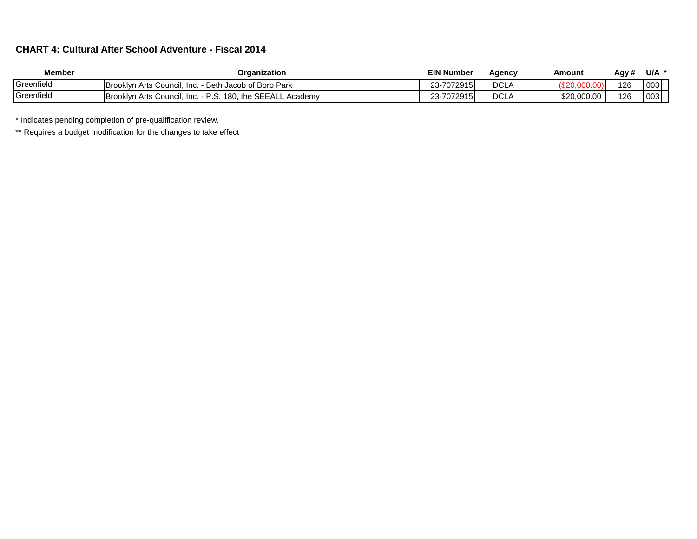## **CHART 4: Cultural After School Adventure - Fiscal 2014**

| <b>Member</b> | Organization                                                     | <b>EIN Number</b> | Agency      | Amount      | Agy # | U/A |
|---------------|------------------------------------------------------------------|-------------------|-------------|-------------|-------|-----|
| Greenfield    | - Beth Jacob of Boro Park<br>Brooklyn Arts Council, Inc.         | 23-7072915        | <b>DCLA</b> |             | 126   | 003 |
| Greenfield    | Brooklyn Arts Council, Inc. - P.S. 180, the SEEALL,<br>. Academv | 23-7072915        | <b>DCLA</b> | \$20,000.00 | 126   | 003 |

\* Indicates pending completion of pre-qualification review.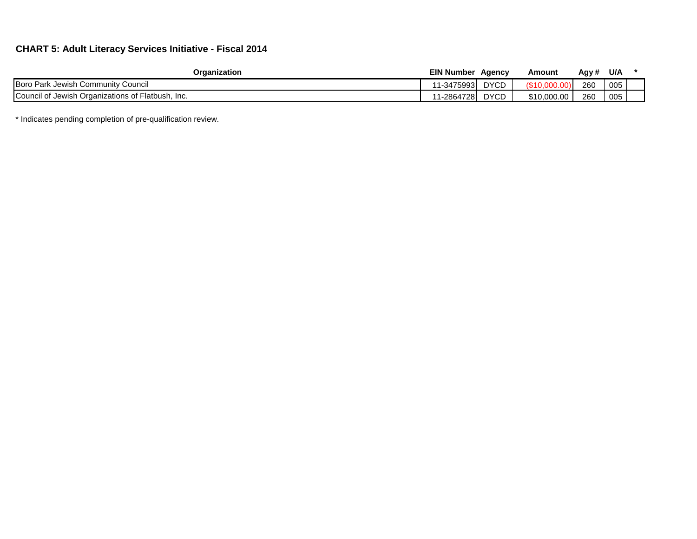## **CHART 5: Adult Literacy Services Initiative - Fiscal 2014**

| Organization                                            | EIN Number | Agency      | Amount      | Agy # | U/A |  |
|---------------------------------------------------------|------------|-------------|-------------|-------|-----|--|
| Boro Park Jewish Community Council                      | 1-34759931 | <b>DYCD</b> | $\sim$      | 260   | 005 |  |
| Council of<br>of Jewish Organizations of Flatbush, Inc. | 1-2864728  | <b>DYCD</b> | \$10,000,00 | 260   | 005 |  |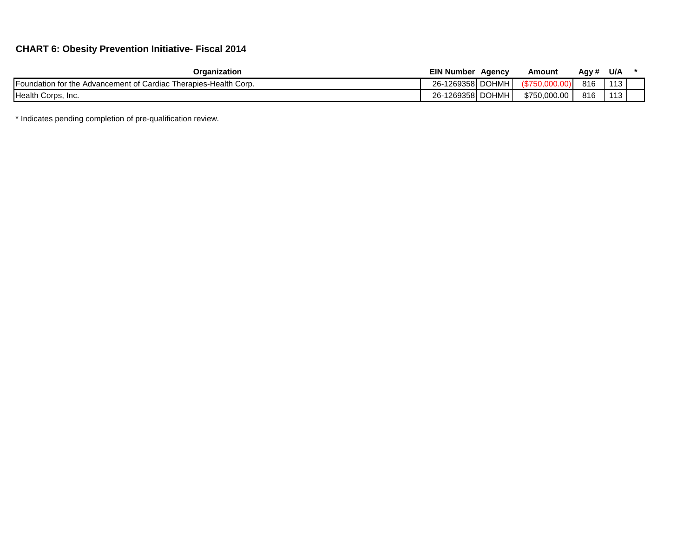## **CHART 6: Obesity Prevention Initiative- Fiscal 2014**

| Organization                                                          | <b>EIN Number</b> | Agency | Amount          | Agy # | U/A                   |  |
|-----------------------------------------------------------------------|-------------------|--------|-----------------|-------|-----------------------|--|
| Foundation for the<br>e Advancement of Cardiac Therapies-Health Corp. | 26-1269358 DOHMH  |        | <b>18750.u.</b> | 816   | $\overline{A}$<br>ں ا |  |
| Health Corps, Inc.                                                    | 26-1269358 DOHMH  |        | \$750,000,00    | 816   | 110<br>່ເປ            |  |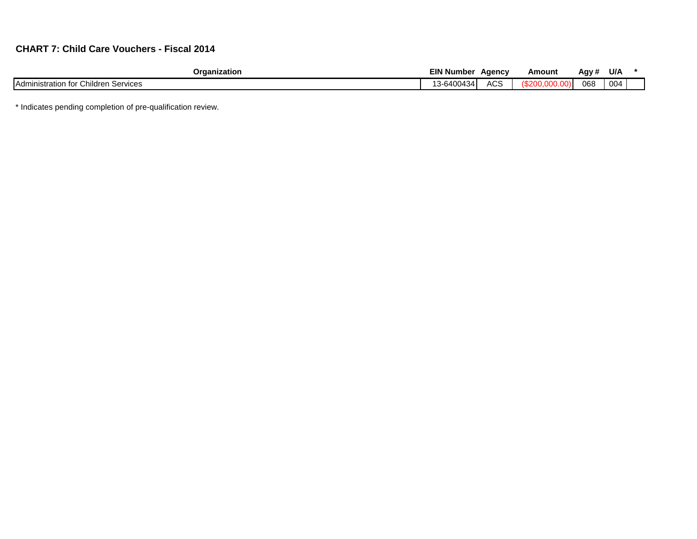# **CHART 7: Child Care Vouchers - Fiscal 2014**

| Organization                                        | <b>EIN</b><br>ا Number | Aaencv                    | Amount | Aav #<br>J. | U/A             |  |
|-----------------------------------------------------|------------------------|---------------------------|--------|-------------|-----------------|--|
| Children<br>Services<br><b>Adminis</b><br>≅ration . | 3-6400434              | $\sim$<br>$\cdots$<br>่งง |        | 068         | 00 <sup>2</sup> |  |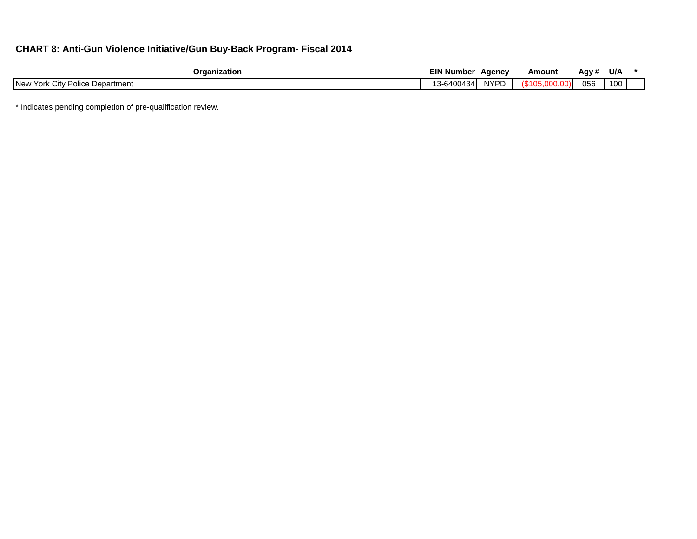## **CHART 8: Anti-Gun Violence Initiative/Gun Buy-Back Program- Fiscal 2014**

| Organization                                  | EIN Number      | Agency          | Amount | Agy # | U/A |  |
|-----------------------------------------------|-----------------|-----------------|--------|-------|-----|--|
| New York<br>Police<br>: Department<br>∴∨ Cit∨ | -6400434<br>. . | NIVDN<br>.<br>້ |        | 056   | 100 |  |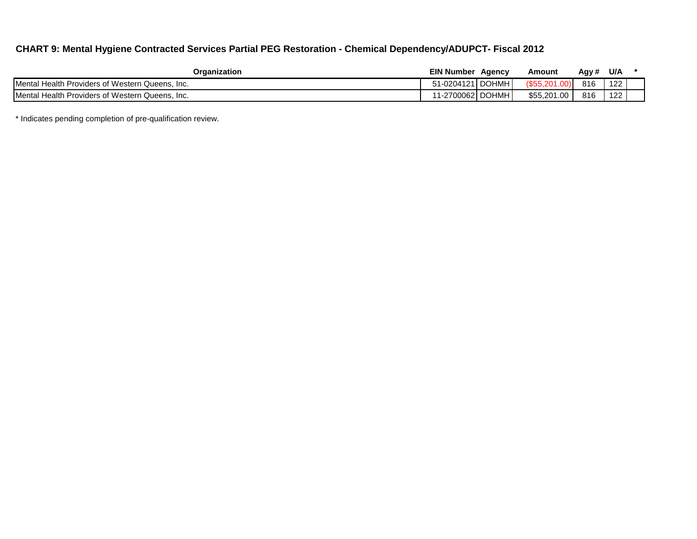## **CHART 9: Mental Hygiene Contracted Services Partial PEG Restoration - Chemical Dependency/ADUPCT- Fiscal 2012**

| Organization                                            | <b>EIN Number</b> | Agency | Amount            | Agy # | U/A |  |
|---------------------------------------------------------|-------------------|--------|-------------------|-------|-----|--|
| <b>IMental Health Providers of Western Queens. Inc.</b> | 51-0204121 DOHMH  |        | (\$55.20          | 816   | 122 |  |
| Mental Health Providers of Western Queens, Inc.         | '1-2700062 DOHMH  |        | \$55,201<br>0.001 | 816   | 122 |  |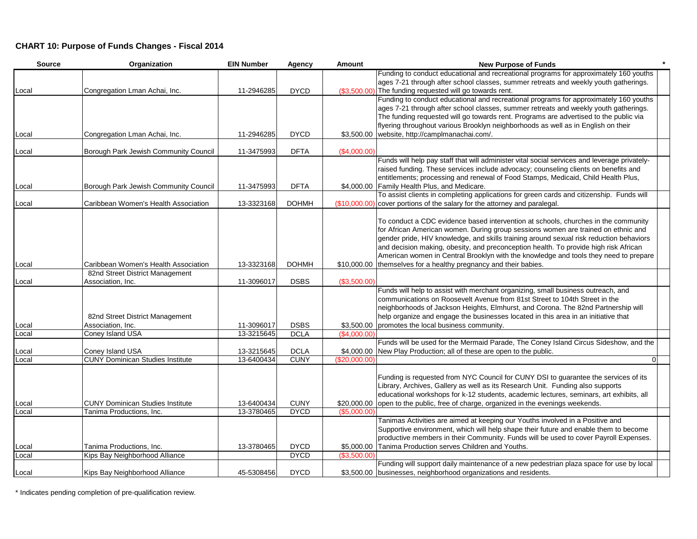### **CHART 10: Purpose of Funds Changes - Fiscal 2014**

| <b>Source</b> | Organization                                                | <b>EIN Number</b>        | <b>Agency</b>              | Amount        | <b>New Purpose of Funds</b>                                                                  |
|---------------|-------------------------------------------------------------|--------------------------|----------------------------|---------------|----------------------------------------------------------------------------------------------|
|               |                                                             |                          |                            |               | Funding to conduct educational and recreational programs for approximately 160 youths        |
|               |                                                             |                          |                            |               | ages 7-21 through after school classes, summer retreats and weekly youth gatherings.         |
| Local         | Congregation Lman Achai, Inc.                               | 11-2946285               | <b>DYCD</b>                |               | (\$3,500.00) The funding requested will go towards rent.                                     |
|               |                                                             |                          |                            |               | Funding to conduct educational and recreational programs for approximately 160 youths        |
|               |                                                             |                          |                            |               | ages 7-21 through after school classes, summer retreats and weekly youth gatherings.         |
|               |                                                             |                          |                            |               | The funding requested will go towards rent. Programs are advertised to the public via        |
|               |                                                             |                          |                            |               | flyering throughout various Brooklyn neighborhoods as well as in English on their            |
| Local         | Congregation Lman Achai, Inc.                               | 11-2946285               | <b>DYCD</b>                |               | \$3,500.00 website, http://camplmanachai.com/.                                               |
| _ocal         | Borough Park Jewish Community Council                       | 11-3475993               | <b>DFTA</b>                | (\$4,000.00)  |                                                                                              |
|               |                                                             |                          |                            |               | Funds will help pay staff that will administer vital social services and leverage privately- |
|               |                                                             |                          |                            |               | raised funding. These services include advocacy; counseling clients on benefits and          |
|               |                                                             |                          |                            |               | entitlements; processing and renewal of Food Stamps, Medicaid, Child Health Plus,            |
| Local         | Borough Park Jewish Community Council                       | 11-3475993               | <b>DFTA</b>                |               | \$4,000.00 Family Health Plus, and Medicare.                                                 |
|               |                                                             |                          |                            |               | To assist clients in completing applications for green cards and citizenship. Funds will     |
| Local         | Caribbean Women's Health Association                        | 13-3323168               | <b>DOHMH</b>               |               | (\$10,000.00) cover portions of the salary for the attorney and paralegal.                   |
|               |                                                             |                          |                            |               | To conduct a CDC evidence based intervention at schools, churches in the community           |
|               |                                                             |                          |                            |               | for African American women. During group sessions women are trained on ethnic and            |
|               |                                                             |                          |                            |               | gender pride, HIV knowledge, and skills training around sexual risk reduction behaviors      |
|               |                                                             |                          |                            |               | and decision making, obesity, and preconception health. To provide high risk African         |
|               |                                                             |                          |                            |               | American women in Central Brooklyn with the knowledge and tools they need to prepare         |
| Local         | Caribbean Women's Health Association                        | 13-3323168               | <b>DOHMH</b>               |               | \$10,000.00 themselves for a healthy pregnancy and their babies.                             |
|               | 82nd Street District Management                             |                          |                            |               |                                                                                              |
| Local         | Association, Inc.                                           | 11-3096017               | <b>DSBS</b>                | (\$3,500.00)  |                                                                                              |
|               |                                                             |                          |                            |               | Funds will help to assist with merchant organizing, small business outreach, and             |
|               |                                                             |                          |                            |               | communications on Roosevelt Avenue from 81st Street to 104th Street in the                   |
|               |                                                             |                          |                            |               | neighborhoods of Jackson Heights, Elmhurst, and Corona. The 82nd Partnership will            |
|               | 82nd Street District Management                             |                          |                            |               | help organize and engage the businesses located in this area in an initiative that           |
| .ocal         | Association, Inc.                                           | 11-3096017               | <b>DSBS</b>                |               | \$3,500.00 promotes the local business community.                                            |
| .ocal         | Coney Island USA                                            | 13-3215645               | <b>DCLA</b>                | (\$4,000.00)  |                                                                                              |
|               |                                                             |                          |                            |               | Funds will be used for the Mermaid Parade, The Coney Island Circus Sideshow, and the         |
| .ocal         | Coney Island USA<br><b>CUNY Dominican Studies Institute</b> | 13-3215645<br>13-6400434 | <b>DCLA</b><br><b>CUNY</b> |               | \$4,000.00 New Play Production; all of these are open to the public.<br>$\Omega$             |
| Local         |                                                             |                          |                            | (\$20,000.00) |                                                                                              |
|               |                                                             |                          |                            |               | Funding is requested from NYC Council for CUNY DSI to guarantee the services of its          |
|               |                                                             |                          |                            |               | Library, Archives, Gallery as well as its Research Unit. Funding also supports               |
|               |                                                             |                          |                            |               | educational workshops for k-12 students, academic lectures, seminars, art exhibits, all      |
| _ocal         | <b>CUNY Dominican Studies Institute</b>                     | 13-6400434               | <b>CUNY</b>                |               | \$20,000.00 open to the public, free of charge, organized in the evenings weekends.          |
| .ocal         | Tanima Productions, Inc.                                    | 13-3780465               | <b>DYCD</b>                | (\$5,000.00)  |                                                                                              |
|               |                                                             |                          |                            |               | Tanimas Activities are aimed at keeping our Youths involved in a Positive and                |
|               |                                                             |                          |                            |               | Supportive environment, which will help shape their future and enable them to become         |
|               |                                                             |                          |                            |               | productive members in their Community. Funds will be used to cover Payroll Expenses.         |
| Local         | Tanima Productions, Inc.                                    | 13-3780465               | <b>DYCD</b>                | \$5,000.00    | Tanima Production serves Children and Youths.                                                |
| Local         | Kips Bay Neighborhood Alliance                              |                          | <b>DYCD</b>                | (\$3,500.00)  |                                                                                              |
|               |                                                             |                          |                            |               | Funding will support daily maintenance of a new pedestrian plaza space for use by local      |
| Local         | Kips Bay Neighborhood Alliance                              | 45-5308456               | <b>DYCD</b>                |               | \$3,500.00 businesses, neighborhood organizations and residents.                             |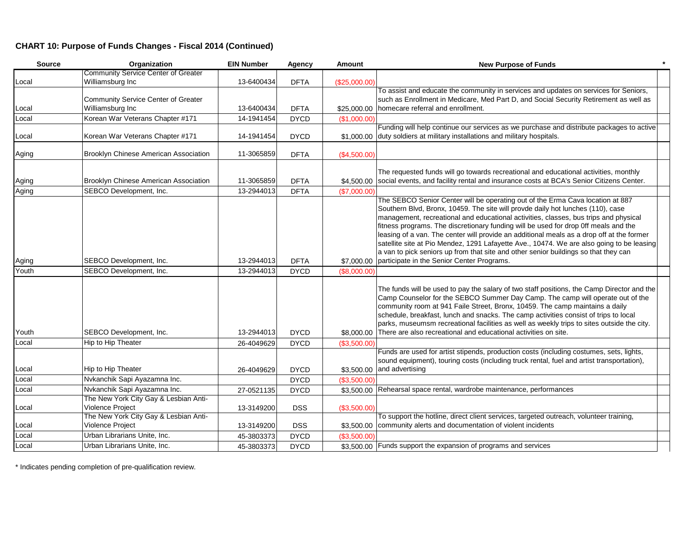### **CHART 10: Purpose of Funds Changes - Fiscal 2014 (Continued)**

| <b>Source</b> | Organization                                              | <b>EIN Number</b> | Agency      | <b>Amount</b> | <b>New Purpose of Funds</b>                                                                                                                                                                                                                                                                                                                                                                                                                                                                                                                                                                                                                                                                |
|---------------|-----------------------------------------------------------|-------------------|-------------|---------------|--------------------------------------------------------------------------------------------------------------------------------------------------------------------------------------------------------------------------------------------------------------------------------------------------------------------------------------------------------------------------------------------------------------------------------------------------------------------------------------------------------------------------------------------------------------------------------------------------------------------------------------------------------------------------------------------|
|               | <b>Community Service Center of Greater</b>                |                   |             |               |                                                                                                                                                                                                                                                                                                                                                                                                                                                                                                                                                                                                                                                                                            |
| Local         | Williamsburg Inc                                          | 13-6400434        | <b>DFTA</b> | (\$25,000.00) |                                                                                                                                                                                                                                                                                                                                                                                                                                                                                                                                                                                                                                                                                            |
|               |                                                           |                   |             |               | To assist and educate the community in services and updates on services for Seniors,                                                                                                                                                                                                                                                                                                                                                                                                                                                                                                                                                                                                       |
|               | Community Service Center of Greater                       |                   |             |               | such as Enrollment in Medicare, Med Part D, and Social Security Retirement as well as                                                                                                                                                                                                                                                                                                                                                                                                                                                                                                                                                                                                      |
| Local         | Williamsburg Inc                                          | 13-6400434        | <b>DFTA</b> |               | \$25,000.00 homecare referral and enrollment.                                                                                                                                                                                                                                                                                                                                                                                                                                                                                                                                                                                                                                              |
| Local         | Korean War Veterans Chapter #171                          | 14-1941454        | <b>DYCD</b> | (\$1,000.00)  |                                                                                                                                                                                                                                                                                                                                                                                                                                                                                                                                                                                                                                                                                            |
| Local         | Korean War Veterans Chapter #171                          | 14-1941454        | <b>DYCD</b> |               | Funding will help continue our services as we purchase and distribute packages to active<br>\$1,000.00 duty soldiers at military installations and military hospitals.                                                                                                                                                                                                                                                                                                                                                                                                                                                                                                                     |
| Aging         | Brooklyn Chinese American Association                     | 11-3065859        | <b>DFTA</b> | (\$4,500.00)  |                                                                                                                                                                                                                                                                                                                                                                                                                                                                                                                                                                                                                                                                                            |
| Aging         | Brooklyn Chinese American Association                     | 11-3065859        | <b>DFTA</b> |               | The requested funds will go towards recreational and educational activities, monthly<br>\$4,500.00 social events, and facility rental and insurance costs at BCA's Senior Citizens Center.                                                                                                                                                                                                                                                                                                                                                                                                                                                                                                 |
| Aging         | SEBCO Development, Inc.                                   | 13-2944013        | <b>DFTA</b> | (\$7,000.00)  |                                                                                                                                                                                                                                                                                                                                                                                                                                                                                                                                                                                                                                                                                            |
| Aging         | SEBCO Development, Inc.                                   | 13-2944013        | <b>DFTA</b> |               | The SEBCO Senior Center will be operating out of the Erma Cava location at 887<br>Southern Blvd, Bronx, 10459. The site will provde daily hot lunches (110), case<br>management, recreational and educational activities, classes, bus trips and physical<br>fitness programs. The discretionary funding will be used for drop Off meals and the<br>leasing of a van. The center will provide an additional meals as a drop off at the former<br>satellite site at Pio Mendez, 1291 Lafayette Ave., 10474. We are also going to be leasing<br>a van to pick seniors up from that site and other senior buildings so that they can<br>\$7,000.00 participate in the Senior Center Programs. |
| Youth         | SEBCO Development, Inc.                                   | 13-2944013        | <b>DYCD</b> | (\$8,000.00)  |                                                                                                                                                                                                                                                                                                                                                                                                                                                                                                                                                                                                                                                                                            |
|               |                                                           |                   |             |               | The funds will be used to pay the salary of two staff positions, the Camp Director and the<br>Camp Counselor for the SEBCO Summer Day Camp. The camp will operate out of the<br>community room at 941 Faile Street, Bronx, 10459. The camp maintains a daily<br>schedule, breakfast, lunch and snacks. The camp activities consist of trips to local<br>parks, museumsm recreational facilities as well as weekly trips to sites outside the city.                                                                                                                                                                                                                                         |
| Youth         | SEBCO Development, Inc.                                   | 13-2944013        | <b>DYCD</b> | \$8,000.00    | There are also recreational and educational activities on site.                                                                                                                                                                                                                                                                                                                                                                                                                                                                                                                                                                                                                            |
| Local         | Hip to Hip Theater                                        | 26-4049629        | <b>DYCD</b> | (\$3,500.00)  |                                                                                                                                                                                                                                                                                                                                                                                                                                                                                                                                                                                                                                                                                            |
| Local         | Hip to Hip Theater                                        | 26-4049629        | <b>DYCD</b> |               | Funds are used for artist stipends, production costs (including costumes, sets, lights,<br>sound equipment), touring costs (including truck rental, fuel and artist transportation),<br>\$3,500.00 and advertising                                                                                                                                                                                                                                                                                                                                                                                                                                                                         |
| Local         | Nvkanchik Sapi Ayazamna Inc.                              |                   | <b>DYCD</b> | (\$3,500.00)  |                                                                                                                                                                                                                                                                                                                                                                                                                                                                                                                                                                                                                                                                                            |
| Local         | Nvkanchik Sapi Ayazamna Inc.                              | 27-0521135        | <b>DYCD</b> |               | \$3,500.00 Rehearsal space rental, wardrobe maintenance, performances                                                                                                                                                                                                                                                                                                                                                                                                                                                                                                                                                                                                                      |
| Local         | The New York City Gay & Lesbian Anti-<br>Violence Project | 13-3149200        | <b>DSS</b>  | (\$3,500.00)  |                                                                                                                                                                                                                                                                                                                                                                                                                                                                                                                                                                                                                                                                                            |
| Local         | The New York City Gay & Lesbian Anti-<br>Violence Project | 13-3149200        | <b>DSS</b>  |               | To support the hotline, direct client services, targeted outreach, volunteer training,<br>\$3,500.00 community alerts and documentation of violent incidents                                                                                                                                                                                                                                                                                                                                                                                                                                                                                                                               |
| Local         | Urban Librarians Unite, Inc.                              | 45-3803373        | <b>DYCD</b> | (\$3,500.00)  |                                                                                                                                                                                                                                                                                                                                                                                                                                                                                                                                                                                                                                                                                            |
| Local         | Urban Librarians Unite, Inc.                              | 45-3803373        | <b>DYCD</b> |               | \$3,500.00 Funds support the expansion of programs and services                                                                                                                                                                                                                                                                                                                                                                                                                                                                                                                                                                                                                            |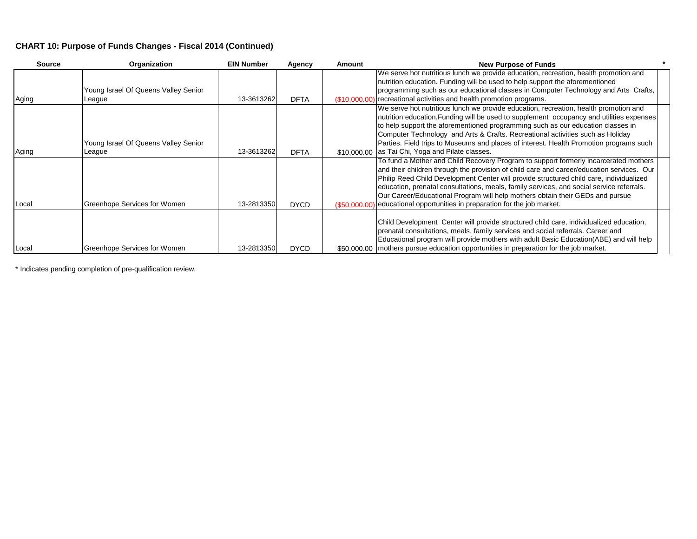### **CHART 10: Purpose of Funds Changes - Fiscal 2014 (Continued)**

| <b>Source</b> | Organization                                   | <b>EIN Number</b> | Agency      | Amount | <b>New Purpose of Funds</b>                                                                                                                                                                                                                                                                                                                                                                                                                                                                                                              |
|---------------|------------------------------------------------|-------------------|-------------|--------|------------------------------------------------------------------------------------------------------------------------------------------------------------------------------------------------------------------------------------------------------------------------------------------------------------------------------------------------------------------------------------------------------------------------------------------------------------------------------------------------------------------------------------------|
|               | Young Israel Of Queens Valley Senior           |                   |             |        | We serve hot nutritious lunch we provide education, recreation, health promotion and<br>nutrition education. Funding will be used to help support the aforementioned<br>programming such as our educational classes in Computer Technology and Arts Crafts,                                                                                                                                                                                                                                                                              |
| Aging         | League                                         | 13-3613262        | <b>DFTA</b> |        | (\$10,000.00) recreational activities and health promotion programs.                                                                                                                                                                                                                                                                                                                                                                                                                                                                     |
| Aging         | Young Israel Of Queens Valley Senior<br>League | 13-3613262        | <b>DFTA</b> |        | We serve hot nutritious lunch we provide education, recreation, health promotion and<br>nutrition education. Funding will be used to supplement occupancy and utilities expenses<br>to help support the aforementioned programming such as our education classes in<br>Computer Technology and Arts & Crafts. Recreational activities such as Holiday<br>Parties. Field trips to Museums and places of interest. Health Promotion programs such<br>\$10,000,00 as Tai Chi, Yoga and Pilate classes.                                      |
| Local         | Greenhope Services for Women                   | 13-2813350        | <b>DYCD</b> |        | To fund a Mother and Child Recovery Program to support formerly incarcerated mothers<br>and their children through the provision of child care and career/education services. Our<br>Philip Reed Child Development Center will provide structured child care, individualized<br>education, prenatal consultations, meals, family services, and social service referrals.<br>Our Career/Educational Program will help mothers obtain their GEDs and pursue<br>$($50.000.00)$ educational opportunities in preparation for the job market. |
| Local         | Greenhope Services for Women                   | 13-2813350        | <b>DYCD</b> |        | Child Development Center will provide structured child care, individualized education,<br>prenatal consultations, meals, family services and social referrals. Career and<br>Educational program will provide mothers with adult Basic Education (ABE) and will help<br>\$50,000.00   mothers pursue education opportunities in preparation for the job market.                                                                                                                                                                          |